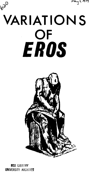may 9 1979

# VARIATIONS OF EROS

620



**BSU LIBRARY UNIVERSITY ARCHIVES**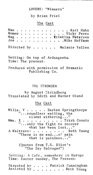# LOVERS: "Winners"

### by Brian Friel

# The Cast

Man . .<br>Women .<br>Mag . .<br>Joe . . . . . . Karl Hahn . . . Vicky Perez Iristina Peterson<br>Kristina Peterson<br>. . .Mike Hoffman Directed by . . . . . Melanie Yellen

Setting: On top of Ardnageeha. Time: The present.

Produced with permission of Dramatic Publishing Co.

#### THE STRONGER

by August Strindberg Translated by Edith and Warner Oland

# The Cast

The Cast<br>Mille. Y . . . . . Darien Springthorpe<br>"...soundless wailing, the silent withering..."<br>X . . . . . . . . . . . Trish Coonts "...soundless wailing, the<br>silent withering..."<br>Mme.  $X \tcdot \tcdot \tcdot \tcdot \tcdot \tcdot \tcdot \tcdot \tcdot \tcdot$  Trish Coonts " ... only the fight to recover what has been  $lost..."$ A Waitress: ........ Beth Young "There is no end... of pain that is painless..." (Quotes from T.S. Eliot's "The Dry Salvages")

Setting: A Cafe, somewhere in Europe Time: Easter Sunday, The Present.

Directed by . . . . Patrick Cunningham Assisted by . . . . . . . Beth Young